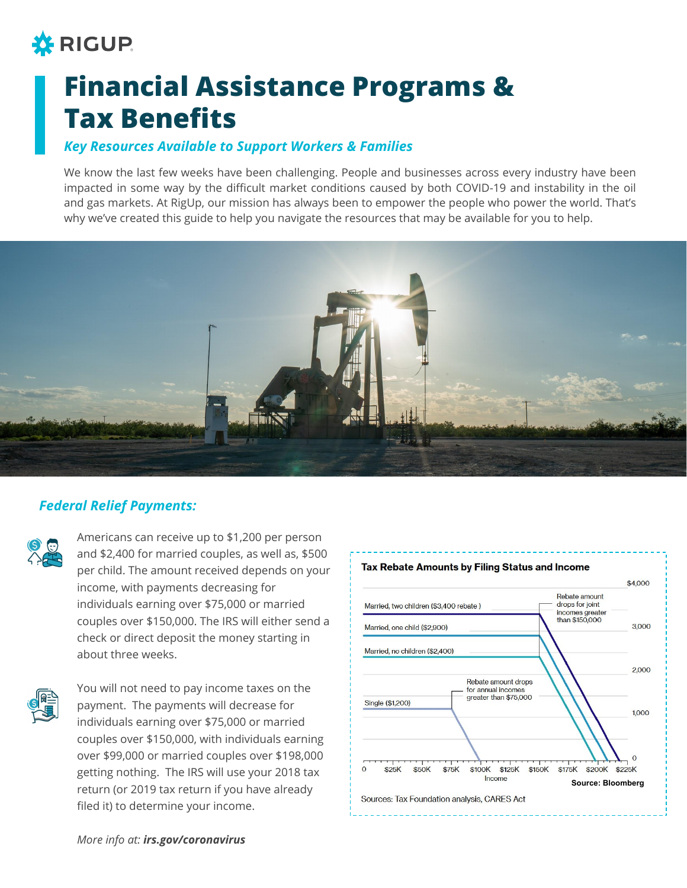## **\*** RIGUP

# **Financial Assistance Programs & Tax Benefits**

## *Key Resources Available to Support Workers & Families*

We know the last few weeks have been challenging. People and businesses across every industry have been impacted in some way by the difficult market conditions caused by both COVID-19 and instability in the oil and gas markets. At RigUp, our mission has always been to empower the people who power the world. That's why we've created this guide to help you navigate the resources that may be available for you to help.



## *Federal Relief Payments:*



Americans can receive up to \$1,200 per person and \$2,400 for married couples, as well as, \$500 per child. The amount received depends on your income, with payments decreasing for individuals earning over \$75,000 or married couples over \$150,000. The IRS will either send a check or direct deposit the money starting in about three weeks.



You will not need to pay income taxes on the payment. The payments will decrease for individuals earning over \$75,000 or married couples over \$150,000, with individuals earning over \$99,000 or married couples over \$198,000 getting nothing. The IRS will use your 2018 tax return (or 2019 tax return if you have already filed it) to determine your income.